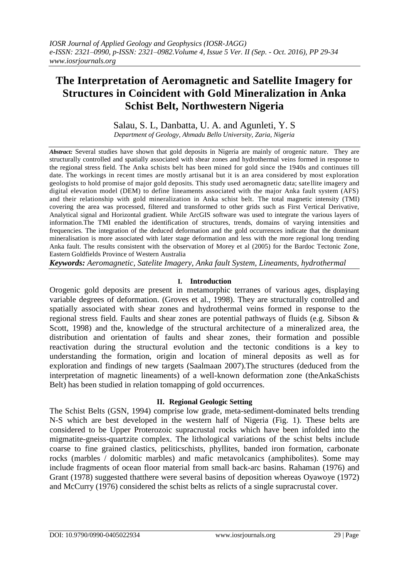*IOSR Journal of Applied Geology and Geophysics (IOSR-JAGG) e-ISSN: 2321–0990, p-ISSN: 2321–0982.Volume 4, Issue 5 Ver. II (Sep. - Oct. 2016), PP 29-34 www.iosrjournals.org*

# **The Interpretation of Aeromagnetic and Satellite Imagery for Structures in Coincident with Gold Mineralization in Anka Schist Belt, Northwestern Nigeria**

## Salau, S. L, Danbatta, U. A. and Agunleti, Y. S

*Department of Geology, Ahmadu Bello University, Zaria, Nigeria*

*Abstract:* Several studies have shown that gold deposits in Nigeria are mainly of orogenic nature. They are structurally controlled and spatially associated with shear zones and hydrothermal veins formed in response to the regional stress field. The Anka schists belt has been mined for gold since the 1940s and continues till date. The workings in recent times are mostly artisanal but it is an area considered by most exploration geologists to hold promise of major gold deposits. This study used aeromagnetic data; sate llite imagery and digital elevation model (DEM) to define lineaments associated with the major Anka fault system (AFS) and their relationship with gold mineralization in Anka schist belt. The total magnetic intensity (TMI) covering the area was processed, filtered and transformed to other grids such as First Vertical Derivative, Analytical signal and Horizontal gradient. While ArcGIS software was used to integrate the various layers of information.The TMI enabled the identification of structures, trends, domains of varying intensities and frequencies. The integration of the deduced deformation and the gold occurrences indicate that the dominant mineralisation is more associated with later stage deformation and less with the more regional long trending Anka fault. The results consistent with the observation of Morey et al (2005) for the Bardoc Tectonic Zone, Eastern Goldfields Province of Western Australia

*Keywords: Aeromagnetic, Satelite Imagery, Anka fault System, Lineaments, hydrothermal*

## **I. Introduction**

Orogenic gold deposits are present in metamorphic terranes of various ages, displaying variable degrees of deformation. (Groves et al., 1998). They are structurally controlled and spatially associated with shear zones and hydrothermal veins formed in response to the regional stress field. Faults and shear zones are potential pathways of fluids (e.g. Sibson & Scott, 1998) and the, knowledge of the structural architecture of a mineralized area, the distribution and orientation of faults and shear zones, their formation and possible reactivation during the structural evolution and the tectonic conditions is a key to understanding the formation, origin and location of mineral deposits as well as for exploration and findings of new targets (Saalmaan 2007).The structures (deduced from the interpretation of magnetic lineaments) of a well-known deformation zone (theAnkaSchists Belt) has been studied in relation tomapping of gold occurrences.

### **II. Regional Geologic Setting**

The Schist Belts (GSN, 1994) comprise low grade, meta-sediment-dominated belts trending N-S which are best developed in the western half of Nigeria (Fig. 1). These belts are considered to be Upper Proterozoic supracrustal rocks which have been infolded into the migmatite-gneiss-quartzite complex. The lithological variations of the schist belts include coarse to fine grained clastics, peliticschists, phyllites, banded iron formation, carbonate rocks (marbles / dolomitic marbles) and mafic metavolcanics (amphibolites). Some may include fragments of ocean floor material from small back-arc basins. Rahaman (1976) and Grant (1978) suggested thatthere were several basins of deposition whereas Oyawoye (1972) and McCurry (1976) considered the schist belts as relicts of a single supracrustal cover.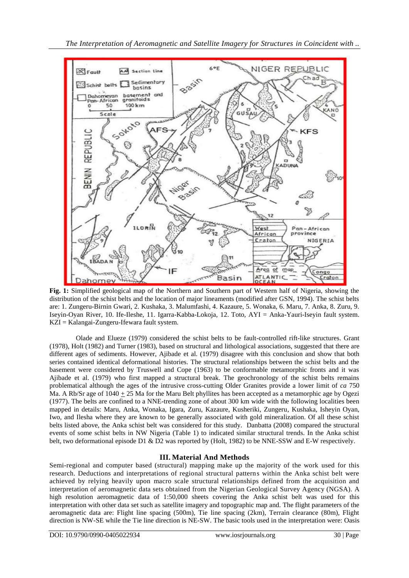

**Fig. 1:** Simplified geological map of the Northern and Southern part of Western half of Nigeria, showing the distribution of the schist belts and the location of major lineaments (modified after GSN, 1994). The schist belts are: 1. Zungeru-Birnin Gwari, 2. Kushaka, 3. Malumfashi, 4. Kazaure, 5. Wonaka, 6. Maru, 7. Anka, 8. Zuru, 9. Iseyin-Oyan River, 10. Ife-Ileshe, 11. Igarra-Kabba-Lokoja, 12. Toto, AYI = Anka-Yauri-Iseyin fault system. KZI = Kalangai-Zungeru-Ifewara fault system.

Olade and Elueze (1979) considered the schist belts to be fault-controlled rift-like structures. Grant (1978), Holt (1982) and Turner (1983), based on structural and lithological associations, suggested that there are different ages of sediments. However, Ajibade et al. (1979) disagree with this conclusion and show that both series contained identical deformational histories. The structural relationships between the schist belts and the basement were considered by Truswell and Cope (1963) to be conformable metamorphic fronts and it was Ajibade et al. (1979) who first mapped a structural break. The geochronology of the schist belts remains problematical although the ages of the intrusive cross-cutting Older Granites provide a lower limit of *ca* 750 Ma. A Rb/Sr age of 1040 + 25 Ma for the Maru Belt phyllites has been accepted as a metamorphic age by Ogezi (1977). The belts are confined to a NNE-trending zone of about 300 km wide with the following localities been mapped in details: Maru, Anka, Wonaka, Igara, Zuru, Kazaure, Kusheriki, Zungeru, Kushaka, Isheyin Oyan, Iwo, and Ilesha where they are known to be generally associated with gold mineralization. Of all these schist belts listed above, the Anka schist belt was considered for this study. Danbatta (2008) compared the structural events of some schist belts in NW Nigeria (Table 1) to indicated similar structural trends. In the Anka schist belt, two deformational episode D1 & D2 was reported by (Holt, 1982) to be NNE-SSW and E-W respectively.

### **III. Material And Methods**

Semi-regional and computer based (structural) mapping make up the majority of the work used for this research. Deductions and interpretations of regional structural patterns within the Anka schist belt were achieved by relying heavily upon macro scale structural relationships defined from the acquisition and interpretation of aeromagnetic data sets obtained from the Nigerian Geological Survey Agency (NGSA). A high resolution aeromagnetic data of 1:50,000 sheets covering the Anka schist belt was used for this interpretation with other data set such as satellite imagery and topographic map and. The flight parameters of the aeromagnetic data are: Flight line spacing (500m), Tie line spacing (2km), Terrain clearance (80m), Flight direction is NW-SE while the Tie line direction is NE-SW. The basic tools used in the interpretation were: Oasis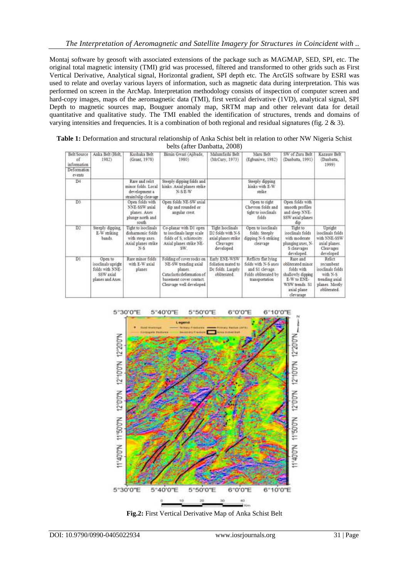Montaj software by geosoft with associated extensions of the package such as MAGMAP, SED, SPI, etc. The original total magnetic intensity (TMI) grid was processed, filtered and transformed to other grids such as First Vertical Derivative, Analytical signal, Horizontal gradient, SPI depth etc. The ArcGIS software by ESRI was used to relate and overlay various layers of information, such as magnetic data during interpretation. This was performed on screen in the ArcMap. Interpretation methodology consists of inspection of computer screen and hard-copy images, maps of the aeromagnetic data (TMI), first vertical derivative (1VD), analytical signal, SPI Depth to magnetic sources map, Bouguer anomaly map, SRTM map and other relevant data for detail quantitative and qualitative study. The TMI enabled the identification of structures, trends and domains of varying intensities and frequencies. It is a combination of both regional and residual signatures (fig. 2 & 3).

**Table 1:** Deformation and structural relationship of Anka Schist belt in relation to other NW Nigeria Schist belts (after Danbatta, 2008)

| Belt/Source<br>of<br>information<br>Deformation.<br>events | Anka Belt (Holt,<br>1982                                                          | Kushaka Belt<br>(Grant, 1978)                                                                | Bimin Gwari (Ajibade,<br>1980)                                                                                                                  | Malumfashi Belt<br>(McCury, 1973)                                                                         | Maru Belt<br>(Egbuniwe, 1982).                                                                           | SW of Zuru Belt<br>(Danbatta, 1991).                                                                                          | Kazaure Belt<br>(Danbatta)<br>1999)                                                                     |
|------------------------------------------------------------|-----------------------------------------------------------------------------------|----------------------------------------------------------------------------------------------|-------------------------------------------------------------------------------------------------------------------------------------------------|-----------------------------------------------------------------------------------------------------------|----------------------------------------------------------------------------------------------------------|-------------------------------------------------------------------------------------------------------------------------------|---------------------------------------------------------------------------------------------------------|
| D4                                                         |                                                                                   | Rare and relot<br>minor folds. Local<br>development a<br>strain0slip cleavage                | Steeply dipping folds and<br>kinks. Axial planes strike<br>N-SE-W                                                                               |                                                                                                           | Steeply dipping<br>kinks with E-W<br>strike                                                              |                                                                                                                               |                                                                                                         |
| D3                                                         |                                                                                   | Open folds with<br>NNE-SSW axial<br>planes. Axes<br>plunge north and<br>south                | Open folds NE-SW axial<br>dip and rounded or<br>angular crest.                                                                                  |                                                                                                           | Open to right<br>Chevron folds and<br>tight to isoclinals.<br>folds                                      | Open folds with<br>smooth profiles<br>and sleep NNE-<br>SSW axial planes<br>dip                                               |                                                                                                         |
| $\overline{D2}$                                            | Steeply dipping.<br>E-W striking<br>bands.                                        | Tight to isoclinals<br>disharmonic folds<br>with steep axes.<br>Axial planes strike<br>$N-S$ | Co-planar with D1 open<br>to isoclinals large scale<br>folds of S, schistocity.<br>Axial planes strike NE-<br>SW.                               | <b>Tight Isoclinals</b><br>D <sub>2</sub> folds with N-S<br>axial planes strike<br>Cleavages<br>developed | Open to isoclinals<br>folds Steeply<br>dipping N-S striking<br>cleavage                                  | Tight to<br>isoclinals folds<br>with moderate<br>plunging axes, N-<br>S cleavages<br>developed.                               | Upright<br>isoclinals folds<br>with NNE-SSW<br>axial planes.<br>Cleavages<br>developed                  |
| $\overline{D1}$                                            | Open to<br>isoclinals upright<br>folds with NNE-<br>SSW axial<br>planes and Axes. | Rare minor folds<br>with E-W axial<br>planes                                                 | Folding of cover rocks on<br>NE-SW trending axial<br>planes.<br>Cataclasticdeformation of<br>basement cover contact.<br>Cleavage well developed | Early ENE-WSW<br>foliation mated to<br>De folds. Largely<br>obliterated                                   | Reflicts flat lying<br>folds with N-S axes<br>and \$1 clevage.<br>Folds obliterated by<br>transportation | Rare and<br>obliterated minor<br>folds with<br>shallowly dipping<br>E-W to ENE-<br>WSW trends, S1<br>axial plane<br>clevarage | Relict<br>recumbent<br>isoclinals folds<br>with N-S<br>trending axial<br>planes. Mostly<br>obliterated. |



**Fig.2:** First Vertical Derivative Map of Anka Schist Belt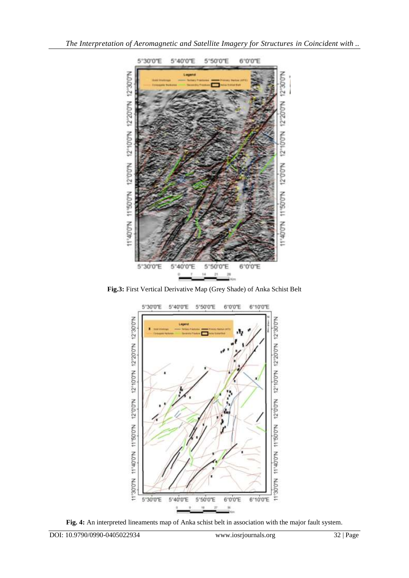

**Fig.3:** First Vertical Derivative Map (Grey Shade) of Anka Schist Belt



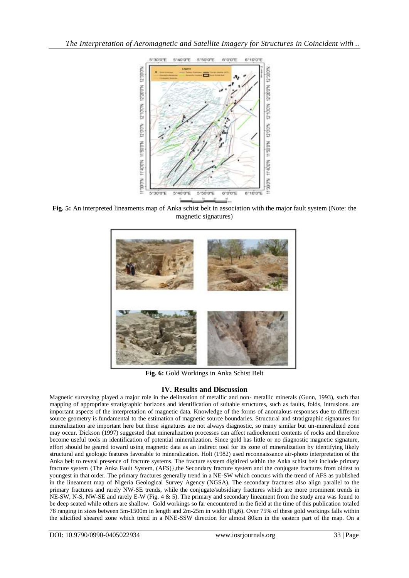

**Fig. 5:** An interpreted lineaments map of Anka schist belt in association with the major fault system (Note: the magnetic signatures)



**Fig. 6:** Gold Workings in Anka Schist Belt

### **IV. Results and Discussion**

Magnetic surveying played a major role in the delineation of metallic and non- metallic minerals (Gunn, 1993), such that mapping of appropriate stratigraphic horizons and identification of suitable structures, such as faults, folds, intrusions. are important aspects of the interpretation of magnetic data. Knowledge of the forms of anomalous responses due to different source geometry is fundamental to the estimation of magnetic source boundaries. Structural and stratigraphic signatures for mineralization are important here but these signatures are not always diagnostic, so many similar but un-mineralized zone may occur. Dickson (1997) suggested that mineralization processes can affect radioelement contents of rocks and therefore become useful tools in identification of potential mineralization. Since gold has little or no diagnostic magnetic signature, effort should be geared toward using magnetic data as an indirect tool for its zone of mineralization by identifying likely structural and geologic features favorable to mineralization. Holt (1982) used reconnaissance air-photo interpretation of the Anka belt to reveal presence of fracture systems. The fracture system digitized within the Anka schist belt include primary fracture system {The Anka Fault System, (AFS)},the Secondary fracture system and the conjugate fractures from oldest to youngest in that order. The primary fractures generally trend in a NE-SW which concurs with the trend of AFS as published in the lineament map of Nigeria Geological Survey Agency (NGSA). The secondary fractures also align parallel to the primary fractures and rarely NW-SE trends, while the conjugate/subsidiary fractures which are more prominent trends in NE-SW, N-S, NW-SE and rarely E-W (Fig. 4 & 5). The primary and secondary lineament from the study area was found to be deep seated while others are shallow. Gold workings so far encountered in the field at the time of this publication totaled 78 ranging in sizes between 5m-1500m in length and 2m-25m in width (Fig6). Over 75% of these gold workings falls within the silicified sheared zone which trend in a NNE-SSW direction for almost 80km in the eastern part of the map. On a